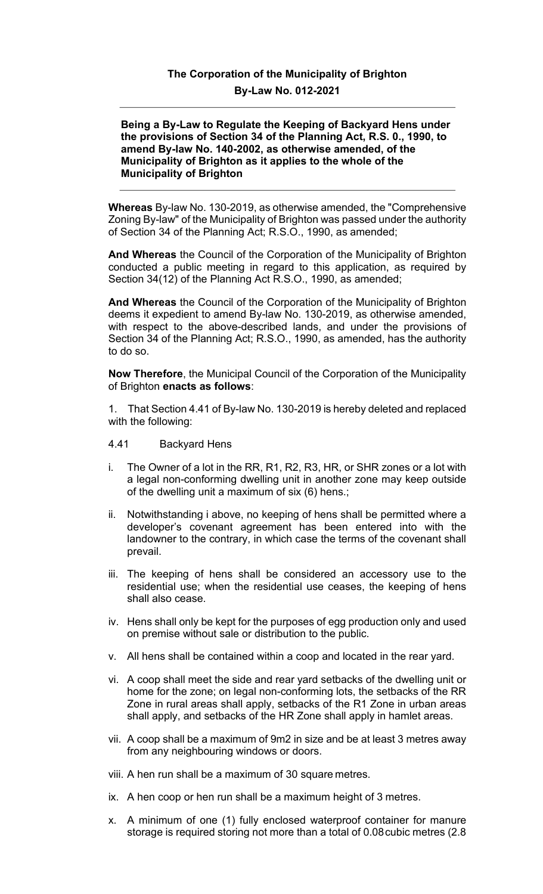## **The Corporation of the Municipality of Brighton By-Law No. 012-2021**

## **Being a By-Law to Regulate the Keeping of Backyard Hens under the provisions of Section 34 of the Planning Act, R.S. 0., 1990, to amend By-law No. 140-2002, as otherwise amended, of the Municipality of Brighton as it applies to the whole of the Municipality of Brighton**

**Whereas** By-law No. 130-2019, as otherwise amended, the "Comprehensive Zoning By-law" of the Municipality of Brighton was passed under the authority of Section 34 of the Planning Act; R.S.O., 1990, as amended;

**And Whereas** the Council of the Corporation of the Municipality of Brighton conducted a public meeting in regard to this application, as required by Section 34(12) of the Planning Act R.S.O., 1990, as amended;

**And Whereas** the Council of the Corporation of the Municipality of Brighton deems it expedient to amend By-law No. 130-2019, as otherwise amended, with respect to the above-described lands, and under the provisions of Section 34 of the Planning Act; R.S.O., 1990, as amended, has the authority to do so.

**Now Therefore**, the Municipal Council of the Corporation of the Municipality of Brighton **enacts as follows**:

1. That Section 4.41 of By-law No. 130-2019 is hereby deleted and replaced with the following:

- 4.41 Backyard Hens
- i. The Owner of a lot in the RR, R1, R2, R3, HR, or SHR zones or a lot with a legal non-conforming dwelling unit in another zone may keep outside of the dwelling unit a maximum of six (6) hens.;
- ii. Notwithstanding i above, no keeping of hens shall be permitted where a developer's covenant agreement has been entered into with the landowner to the contrary, in which case the terms of the covenant shall prevail.
- iii. The keeping of hens shall be considered an accessory use to the residential use; when the residential use ceases, the keeping of hens shall also cease.
- iv. Hens shall only be kept for the purposes of egg production only and used on premise without sale or distribution to the public.
- v. All hens shall be contained within a coop and located in the rear yard.
- vi. A coop shall meet the side and rear yard setbacks of the dwelling unit or home for the zone; on legal non-conforming lots, the setbacks of the RR Zone in rural areas shall apply, setbacks of the R1 Zone in urban areas shall apply, and setbacks of the HR Zone shall apply in hamlet areas.
- vii. A coop shall be a maximum of 9m2 in size and be at least 3 metres away from any neighbouring windows or doors.
- viii. A hen run shall be a maximum of 30 square metres.
- ix. A hen coop or hen run shall be a maximum height of 3 metres.
- x. A minimum of one (1) fully enclosed waterproof container for manure storage is required storing not more than a total of 0.08cubic metres (2.8